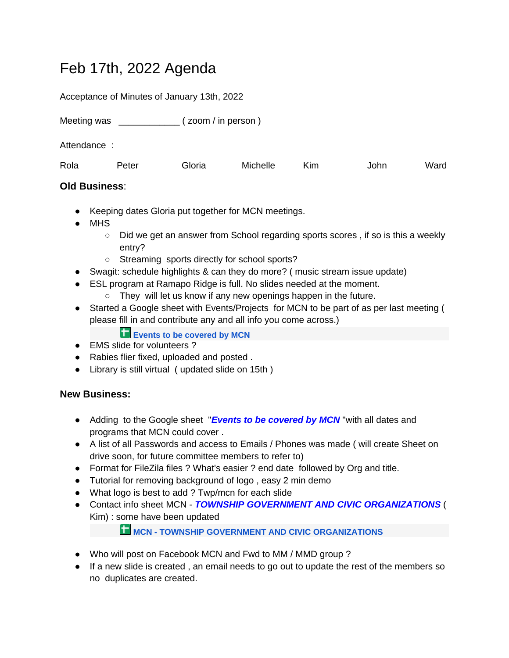## Feb 17th, 2022 Agenda

Acceptance of Minutes of January 13th, 2022

Meeting was \_\_\_\_\_\_\_\_\_\_\_\_\_\_ ( zoom / in person )

Attendance :

| Rola<br>Peter | Gloria | Michelle | Kim | John | Ward |
|---------------|--------|----------|-----|------|------|
|---------------|--------|----------|-----|------|------|

## **Old Business**:

- Keeping dates Gloria put together for MCN meetings.
- MHS
	- Did we get an answer from School regarding sports scores, if so is this a weekly entry?
	- Streaming sports directly for school sports?
- Swagit: schedule highlights & can they do more? ( music stream issue update)
- ESL program at Ramapo Ridge is full. No slides needed at the moment.
	- They will let us know if any new openings happen in the future.
- Started a Google sheet with Events/Projects for MCN to be part of as per last meeting ( please fill in and contribute any and all info you come across.)

## **Events to be covered by MCN**

- EMS slide for volunteers ?
- Rabies flier fixed, uploaded and posted.
- Library is still virtual ( updated slide on 15th )

## **New Business:**

- Adding to the Google sheet "*Events to be covered by MCN* "with all dates and programs that MCN could cover .
- A list of all Passwords and access to Emails / Phones was made ( will create Sheet on drive soon, for future committee members to refer to)
- Format for FileZila files ? What's easier ? end date followed by Org and title.
- Tutorial for removing background of logo, easy 2 min demo
- What logo is best to add ? Twp/mcn for each slide
- Contact info sheet MCN *TOWNSHIP GOVERNMENT AND CIVIC ORGANIZATIONS* ( Kim) : some have been updated

**THE [MCN - TOWNSHIP GOVERNMENT AND CIVIC ORGANIZATIONS](https://docs.google.com/spreadsheets/d/1zZH3motTqBdrn-GcDu3VWa0UkfJOeoF4sHq_e6CDDyk/edit?usp=drive_web)** 

- Who will post on Facebook MCN and Fwd to MM / MMD group ?
- If a new slide is created , an email needs to go out to update the rest of the members so no duplicates are created.